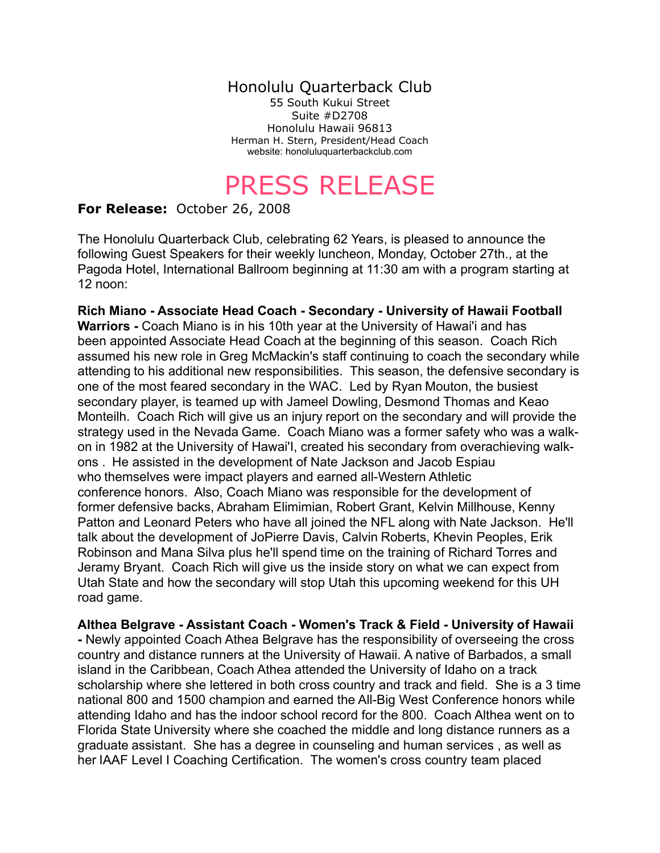## Honolulu Quarterback Club

55 South Kukui Street Suite #D2708 Honolulu Hawaii 96813 Herman H. Stern, President/Head Coach website: honoluluquarterbackclub.com

## PRESS RELEASE

## **For Release:** October 26, 2008

The Honolulu Quarterback Club, celebrating 62 Years, is pleased to announce the following Guest Speakers for their weekly luncheon, Monday, October 27th., at the Pagoda Hotel, International Ballroom beginning at 11:30 am with a program starting at 12 noon:

**Rich Miano - Associate Head Coach - Secondary - University of Hawaii Football Warriors -** Coach Miano is in his 10th year at the University of Hawai'i and has been appointed Associate Head Coach at the beginning of this season. Coach Rich assumed his new role in Greg McMackin's staff continuing to coach the secondary while attending to his additional new responsibilities. This season, the defensive secondary is one of the most feared secondary in the WAC. Led by Ryan Mouton, the busiest secondary player, is teamed up with Jameel Dowling, Desmond Thomas and Keao Monteilh. Coach Rich will give us an injury report on the secondary and will provide the strategy used in the Nevada Game. Coach Miano was a former safety who was a walkon in 1982 at the University of Hawai'I, created his secondary from overachieving walkons . He assisted in the development of Nate Jackson and Jacob Espiau who themselves were impact players and earned all-Western Athletic conference honors. Also, Coach Miano was responsible for the development of former defensive backs, Abraham Elimimian, Robert Grant, Kelvin Millhouse, Kenny Patton and Leonard Peters who have all joined the NFL along with Nate Jackson. He'll talk about the development of JoPierre Davis, Calvin Roberts, Khevin Peoples, Erik Robinson and Mana Silva plus he'll spend time on the training of Richard Torres and Jeramy Bryant. Coach Rich will give us the inside story on what we can expect from Utah State and how the secondary will stop Utah this upcoming weekend for this UH road game.

**Althea Belgrave - Assistant Coach - Women's Track & Field - University of Hawaii -** Newly appointed Coach Athea Belgrave has the responsibility of overseeing the cross country and distance runners at the University of Hawaii. A native of Barbados, a small island in the Caribbean, Coach Athea attended the University of Idaho on a track scholarship where she lettered in both cross country and track and field. She is a 3 time national 800 and 1500 champion and earned the All-Big West Conference honors while attending Idaho and has the indoor school record for the 800. Coach Althea went on to Florida State University where she coached the middle and long distance runners as a graduate assistant. She has a degree in counseling and human services , as well as her IAAF Level I Coaching Certification. The women's cross country team placed